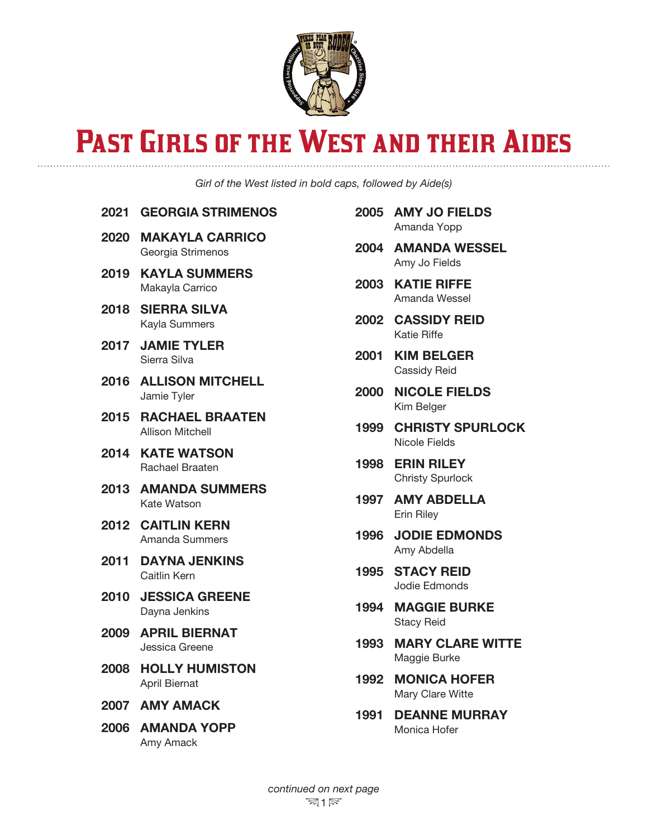

## PAST GIRLS OF THE WEST AND THEIR AIDES

*Girl of the West listed in bold caps, followed by Aide(s)*

## 2021 GEORGIA STRIMENOS

- 2020 MAKAYLA CARRICO Georgia Strimenos
- 2019 KAYLA SUMMERS
- Makayla Carrico 2018 SIERRA SILVA
	- Kayla Summers
- 2017 JAMIE TYLER Sierra Silva
- 2016 ALLISON MITCHELL Jamie Tyler
- 2015 RACHAEL BRAATEN Allison Mitchell
- 2014 KATE WATSON Rachael Braaten
- 2013 AMANDA SUMMERS Kate Watson
- 2012 CAITLIN KERN Amanda Summers
- 2011 DAYNA JENKINS Caitlin Kern
- 2010 JESSICA GREENE Dayna Jenkins
- 2009 APRIL BIERNAT Jessica Greene
- 2008 HOLLY HUMISTON April Biernat
- 2007 AMY AMACK
- 2006 AMANDA YOPP Amy Amack
- 2005 AMY JO FIELDS Amanda Yopp
- 2004 AMANDA WESSEL Amy Jo Fields
- 2003 KATIE RIFFE Amanda Wessel
- 2002 CASSIDY REID Katie Riffe
- 2001 KIM BELGER Cassidy Reid
- 2000 NICOLE FIELDS Kim Belger
- 1999 CHRISTY SPURLOCK Nicole Fields
- 1998 ERIN RILEY Christy Spurlock
- 1997 AMY ABDELLA Erin Riley
- 1996 JODIE EDMONDS Amy Abdella
- 1995 STACY REID Jodie Edmonds
- 1994 MAGGIE BURKE Stacy Reid
- 1993 MARY CLARE WITTE Maggie Burke
- 1992 MONICA HOFER Mary Clare Witte
- 1991 DEANNE MURRAY Monica Hofer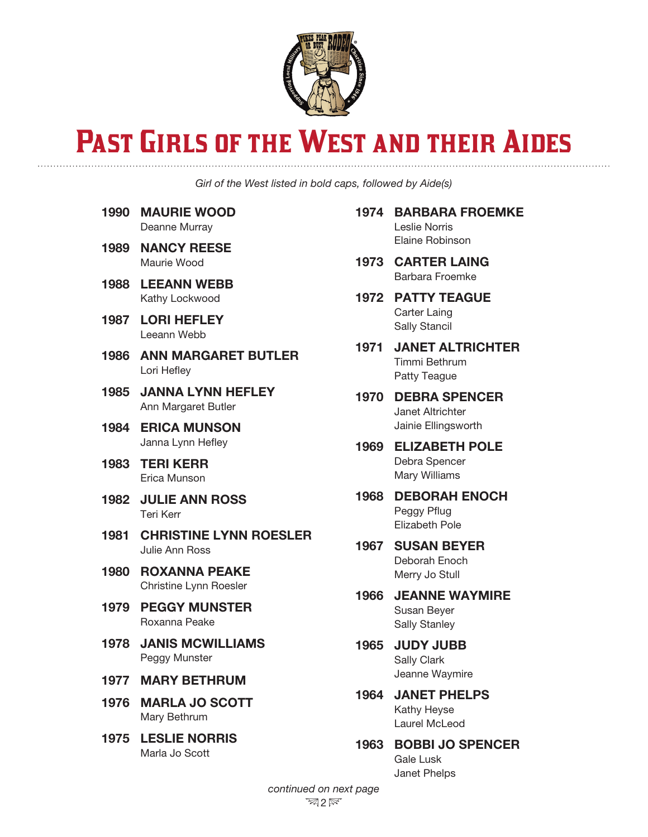

## PAST GIRLS OF THE WEST AND THEIR AIDES

*Girl of the West listed in bold caps, followed by Aide(s)*

- 1990 MAURIE WOOD Deanne Murray
- 1989 NANCY REESE Maurie Wood
- 1988 LEEANN WEBB Kathy Lockwood
- 1987 LORI HEFLEY Leeann Webb
- 1986 ANN MARGARET BUTLER Lori Hefley
- 1985 JANNA LYNN HEFLEY Ann Margaret Butler
- 1984 ERICA MUNSON Janna Lynn Hefley
- 1983 TERI KERR Erica Munson
- 1982 JULIE ANN ROSS Teri Kerr
- 1981 CHRISTINE LYNN ROESLER Julie Ann Ross
- 1980 ROXANNA PEAKE Christine Lynn Roesler
- 1979 PEGGY MUNSTER Roxanna Peake
- 1978 JANIS MCWILLIAMS Peggy Munster
- 1977 MARY BETHRUM
- 1976 MARLA JO SCOTT Mary Bethrum
- 1975 LESLIE NORRIS Marla Jo Scott

1974 BARBARA FROEMKE Leslie Norris Elaine Robinson

- 1973 CARTER LAING Barbara Froemke
- 1972 PATTY TEAGUE Carter Laing Sally Stancil
- 1971 JANET ALTRICHTER Timmi Bethrum Patty Teague
- 1970 DEBRA SPENCER Janet Altrichter Jainie Ellingsworth
- 1969 ELIZABETH POLE Debra Spencer Mary Williams
- 1968 DEBORAH ENOCH Peggy Pflug Elizabeth Pole
- 1967 SUSAN BEYER Deborah Enoch Merry Jo Stull
- 1966 JEANNE WAYMIRE Susan Beyer Sally Stanley
- 1965 JUDY JUBB Sally Clark Jeanne Waymire
- 1964 JANET PHELPS Kathy Heyse Laurel McLeod
- 1963 BOBBI JO SPENCER Gale Lusk Janet Phelps

*continued on next page*  $\mathbb{Z}2\mathbb{R}$